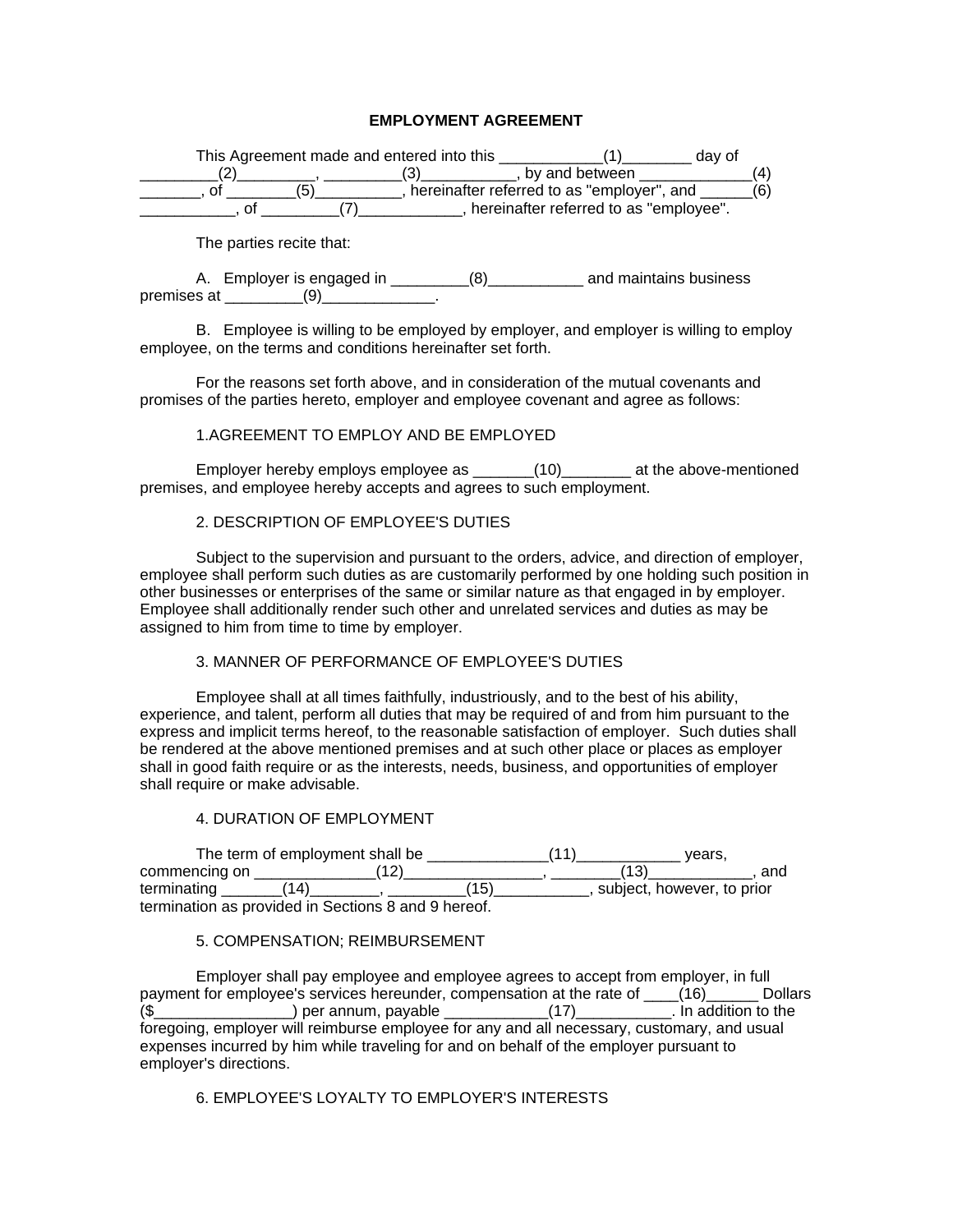## **EMPLOYMENT AGREEMENT**

| This Agreement made and entered into this |                                            |                                        | day of |
|-------------------------------------------|--------------------------------------------|----------------------------------------|--------|
|                                           |                                            | by and between                         |        |
|                                           | hereinafter referred to as "employer", and |                                        |        |
|                                           |                                            | hereinafter referred to as "employee". |        |

The parties recite that:

A. Employer is engaged in \_\_\_\_\_\_\_\_\_(8)\_\_\_\_\_\_\_\_\_\_\_\_ and maintains business premises at \_\_\_\_\_\_\_\_\_\_(9)\_\_\_\_\_\_\_\_\_\_\_\_\_\_.

B. Employee is willing to be employed by employer, and employer is willing to employ employee, on the terms and conditions hereinafter set forth.

For the reasons set forth above, and in consideration of the mutual covenants and promises of the parties hereto, employer and employee covenant and agree as follows:

#### 1.AGREEMENT TO EMPLOY AND BE EMPLOYED

Employer hereby employs employee as \_\_\_\_\_\_\_(10)\_\_\_\_\_\_\_\_ at the above-mentioned premises, and employee hereby accepts and agrees to such employment.

## 2. DESCRIPTION OF EMPLOYEE'S DUTIES

Subject to the supervision and pursuant to the orders, advice, and direction of employer, employee shall perform such duties as are customarily performed by one holding such position in other businesses or enterprises of the same or similar nature as that engaged in by employer. Employee shall additionally render such other and unrelated services and duties as may be assigned to him from time to time by employer.

# 3. MANNER OF PERFORMANCE OF EMPLOYEE'S DUTIES

Employee shall at all times faithfully, industriously, and to the best of his ability, experience, and talent, perform all duties that may be required of and from him pursuant to the express and implicit terms hereof, to the reasonable satisfaction of employer. Such duties shall be rendered at the above mentioned premises and at such other place or places as employer shall in good faith require or as the interests, needs, business, and opportunities of employer shall require or make advisable.

#### 4. DURATION OF EMPLOYMENT

|               | The term of employment shall be                     |     | vears.                     |
|---------------|-----------------------------------------------------|-----|----------------------------|
| commencing on |                                                     |     | and                        |
| terminating   | '14)                                                | (15 | subject, however, to prior |
|               | termination as provided in Sections 8 and 9 hereof. |     |                            |

### 5. COMPENSATION; REIMBURSEMENT

Employer shall pay employee and employee agrees to accept from employer, in full payment for employee's services hereunder, compensation at the rate of \_\_\_\_(16)\_\_\_\_\_\_ Dollars (\$\_\_\_\_\_\_\_\_\_\_\_\_\_\_\_\_) per annum, payable \_\_\_\_\_\_\_\_\_\_\_\_(17)\_\_\_\_\_\_\_\_\_\_\_. In addition to the foregoing, employer will reimburse employee for any and all necessary, customary, and usual expenses incurred by him while traveling for and on behalf of the employer pursuant to employer's directions.

# 6. EMPLOYEE'S LOYALTY TO EMPLOYER'S INTERESTS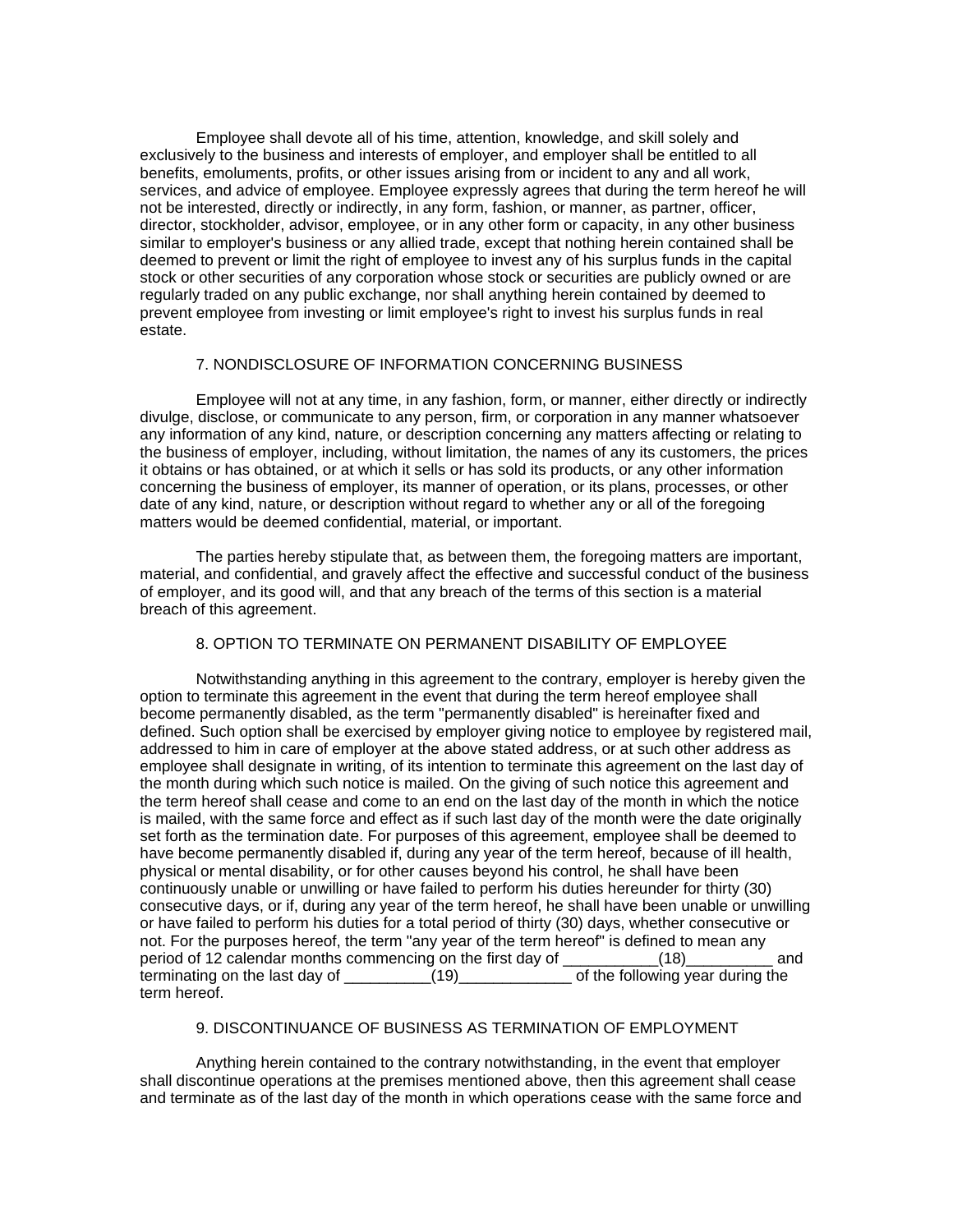Employee shall devote all of his time, attention, knowledge, and skill solely and exclusively to the business and interests of employer, and employer shall be entitled to all benefits, emoluments, profits, or other issues arising from or incident to any and all work, services, and advice of employee. Employee expressly agrees that during the term hereof he will not be interested, directly or indirectly, in any form, fashion, or manner, as partner, officer, director, stockholder, advisor, employee, or in any other form or capacity, in any other business similar to employer's business or any allied trade, except that nothing herein contained shall be deemed to prevent or limit the right of employee to invest any of his surplus funds in the capital stock or other securities of any corporation whose stock or securities are publicly owned or are regularly traded on any public exchange, nor shall anything herein contained by deemed to prevent employee from investing or limit employee's right to invest his surplus funds in real estate.

### 7. NONDISCLOSURE OF INFORMATION CONCERNING BUSINESS

Employee will not at any time, in any fashion, form, or manner, either directly or indirectly divulge, disclose, or communicate to any person, firm, or corporation in any manner whatsoever any information of any kind, nature, or description concerning any matters affecting or relating to the business of employer, including, without limitation, the names of any its customers, the prices it obtains or has obtained, or at which it sells or has sold its products, or any other information concerning the business of employer, its manner of operation, or its plans, processes, or other date of any kind, nature, or description without regard to whether any or all of the foregoing matters would be deemed confidential, material, or important.

The parties hereby stipulate that, as between them, the foregoing matters are important, material, and confidential, and gravely affect the effective and successful conduct of the business of employer, and its good will, and that any breach of the terms of this section is a material breach of this agreement.

#### 8. OPTION TO TERMINATE ON PERMANENT DISABILITY OF EMPLOYEE

Notwithstanding anything in this agreement to the contrary, employer is hereby given the option to terminate this agreement in the event that during the term hereof employee shall become permanently disabled, as the term "permanently disabled" is hereinafter fixed and defined. Such option shall be exercised by employer giving notice to employee by registered mail, addressed to him in care of employer at the above stated address, or at such other address as employee shall designate in writing, of its intention to terminate this agreement on the last day of the month during which such notice is mailed. On the giving of such notice this agreement and the term hereof shall cease and come to an end on the last day of the month in which the notice is mailed, with the same force and effect as if such last day of the month were the date originally set forth as the termination date. For purposes of this agreement, employee shall be deemed to have become permanently disabled if, during any year of the term hereof, because of ill health, physical or mental disability, or for other causes beyond his control, he shall have been continuously unable or unwilling or have failed to perform his duties hereunder for thirty (30) consecutive days, or if, during any year of the term hereof, he shall have been unable or unwilling or have failed to perform his duties for a total period of thirty (30) days, whether consecutive or not. For the purposes hereof, the term "any year of the term hereof" is defined to mean any period of 12 calendar months commencing on the first day of \_\_\_\_\_\_\_\_\_\_\_(18)\_\_\_\_\_\_\_\_\_\_ and terminating on the last day of \_\_\_\_\_\_\_\_\_\_(19)\_\_\_\_\_\_\_\_\_\_\_\_\_ of the following year during the term hereof.

## 9. DISCONTINUANCE OF BUSINESS AS TERMINATION OF EMPLOYMENT

Anything herein contained to the contrary notwithstanding, in the event that employer shall discontinue operations at the premises mentioned above, then this agreement shall cease and terminate as of the last day of the month in which operations cease with the same force and